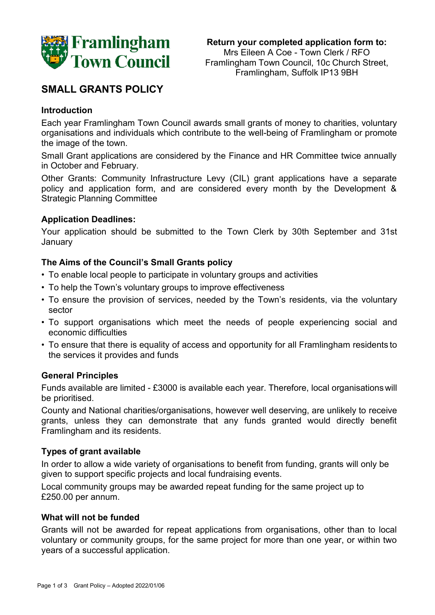

**Return your completed application form to:** Mrs Eileen A Coe - Town Clerk / RFO Framlingham Town Council, 10c Church Street, Framlingham, Suffolk IP13 9BH

# **SMALL GRANTS POLICY**

### **Introduction**

Each year Framlingham Town Council awards small grants of money to charities, voluntary organisations and individuals which contribute to the well-being of Framlingham or promote the image of the town.

Small Grant applications are considered by the Finance and HR Committee twice annually in October and February.

Other Grants: Community Infrastructure Levy (CIL) grant applications have a separate policy and application form, and are considered every month by the Development & Strategic Planning Committee

### **Application Deadlines:**

Your application should be submitted to the Town Clerk by 30th September and 31st January

# **The Aims of the Council's Small Grants policy**

- To enable local people to participate in voluntary groups and activities
- To help the Town's voluntary groups to improve effectiveness
- To ensure the provision of services, needed by the Town's residents, via the voluntary sector
- To support organisations which meet the needs of people experiencing social and economic difficulties
- To ensure that there is equality of access and opportunity for all Framlingham residents to the services it provides and funds

### **General Principles**

Funds available are limited - £3000 is available each year. Therefore, local organisationswill be prioritised.

County and National charities/organisations, however well deserving, are unlikely to receive grants, unless they can demonstrate that any funds granted would directly benefit Framlingham and its residents.

### **Types of grant available**

In order to allow a wide variety of organisations to benefit from funding, grants will only be given to support specific projects and local fundraising events.

Local community groups may be awarded repeat funding for the same project up to £250.00 per annum.

### **What will not be funded**

Grants will not be awarded for repeat applications from organisations, other than to local voluntary or community groups, for the same project for more than one year, or within two years of a successful application.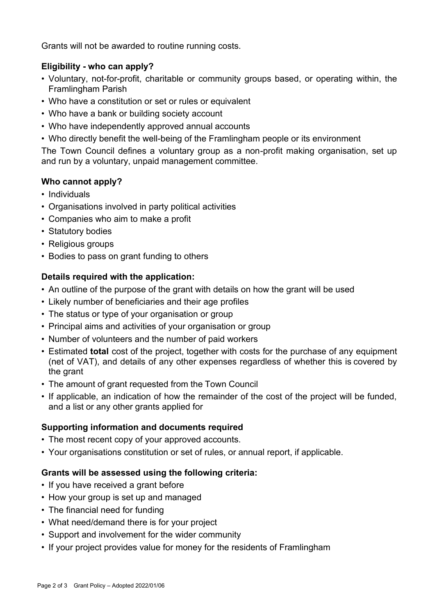Grants will not be awarded to routine running costs.

# **Eligibility - who can apply?**

- Voluntary, not-for-profit, charitable or community groups based, or operating within, the Framlingham Parish
- Who have a constitution or set or rules or equivalent
- Who have a bank or building society account
- Who have independently approved annual accounts
- Who directly benefit the well-being of the Framlingham people or its environment

The Town Council defines a voluntary group as a non-profit making organisation, set up and run by a voluntary, unpaid management committee.

# **Who cannot apply?**

- Individuals
- Organisations involved in party political activities
- Companies who aim to make a profit
- Statutory bodies
- Religious groups
- Bodies to pass on grant funding to others

# **Details required with the application:**

- An outline of the purpose of the grant with details on how the grant will be used
- Likely number of beneficiaries and their age profiles
- The status or type of your organisation or group
- Principal aims and activities of your organisation or group
- Number of volunteers and the number of paid workers
- Estimated **total** cost of the project, together with costs for the purchase of any equipment (net of VAT), and details of any other expenses regardless of whether this is covered by the grant
- The amount of grant requested from the Town Council
- If applicable, an indication of how the remainder of the cost of the project will be funded, and a list or any other grants applied for

# **Supporting information and documents required**

- The most recent copy of your approved accounts.
- Your organisations constitution or set of rules, or annual report, if applicable.

# **Grants will be assessed using the following criteria:**

- If you have received a grant before
- How your group is set up and managed
- The financial need for funding
- What need/demand there is for your project
- Support and involvement for the wider community
- If your project provides value for money for the residents of Framlingham